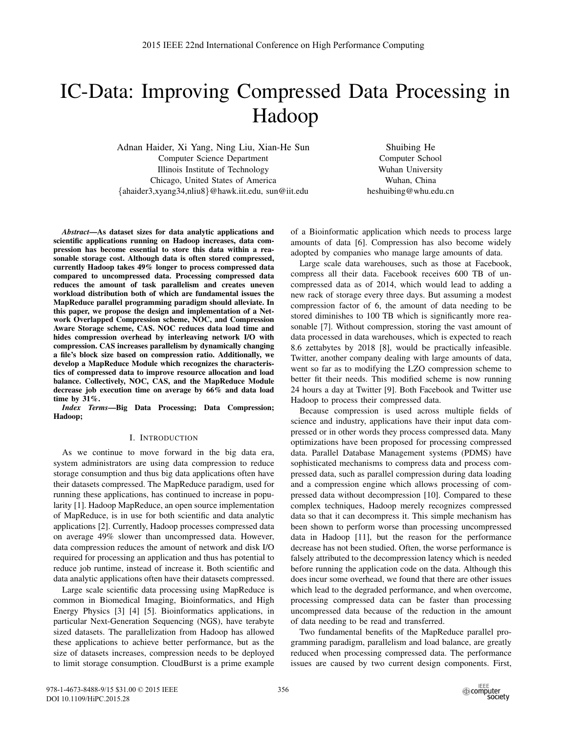# IC-Data: Improving Compressed Data Processing in Hadoop

Adnan Haider, Xi Yang, Ning Liu, Xian-He Sun Computer Science Department Illinois Institute of Technology Chicago, United States of America {ahaider3,xyang34,nliu8}@hawk.iit.edu, sun@iit.edu

Shuibing He Computer School Wuhan University Wuhan, China heshuibing@whu.edu.cn

*Abstract*—As dataset sizes for data analytic applications and scientific applications running on Hadoop increases, data compression has become essential to store this data within a reasonable storage cost. Although data is often stored compressed, currently Hadoop takes 49% longer to process compressed data compared to uncompressed data. Processing compressed data reduces the amount of task parallelism and creates uneven workload distribution both of which are fundamental issues the MapReduce parallel programming paradigm should alleviate. In this paper, we propose the design and implementation of a Network Overlapped Compression scheme, NOC, and Compression Aware Storage scheme, CAS. NOC reduces data load time and hides compression overhead by interleaving network I/O with compression. CAS increases parallelism by dynamically changing a file's block size based on compression ratio. Additionally, we develop a MapReduce Module which recognizes the characteristics of compressed data to improve resource allocation and load balance. Collectively, NOC, CAS, and the MapReduce Module decrease job execution time on average by 66% and data load time by 31%.

*Index Terms*—Big Data Processing; Data Compression; Hadoop;

# I. INTRODUCTION

As we continue to move forward in the big data era, system administrators are using data compression to reduce storage consumption and thus big data applications often have their datasets compressed. The MapReduce paradigm, used for running these applications, has continued to increase in popularity [1]. Hadoop MapReduce, an open source implementation of MapReduce, is in use for both scientific and data analytic applications [2]. Currently, Hadoop processes compressed data on average 49% slower than uncompressed data. However, data compression reduces the amount of network and disk I/O required for processing an application and thus has potential to reduce job runtime, instead of increase it. Both scientific and data analytic applications often have their datasets compressed.

Large scale scientific data processing using MapReduce is common in Biomedical Imaging, Bioinformatics, and High Energy Physics [3] [4] [5]. Bioinformatics applications, in particular Next-Generation Sequencing (NGS), have terabyte sized datasets. The parallelization from Hadoop has allowed these applications to achieve better performance, but as the size of datasets increases, compression needs to be deployed to limit storage consumption. CloudBurst is a prime example of a Bioinformatic application which needs to process large amounts of data [6]. Compression has also become widely adopted by companies who manage large amounts of data.

Large scale data warehouses, such as those at Facebook, compress all their data. Facebook receives 600 TB of uncompressed data as of 2014, which would lead to adding a new rack of storage every three days. But assuming a modest compression factor of 6, the amount of data needing to be stored diminishes to 100 TB which is significantly more reasonable [7]. Without compression, storing the vast amount of data processed in data warehouses, which is expected to reach 8.6 zettabytes by 2018 [8], would be practically infeasible. Twitter, another company dealing with large amounts of data, went so far as to modifying the LZO compression scheme to better fit their needs. This modified scheme is now running 24 hours a day at Twitter [9]. Both Facebook and Twitter use Hadoop to process their compressed data.

Because compression is used across multiple fields of science and industry, applications have their input data compressed or in other words they process compressed data. Many optimizations have been proposed for processing compressed data. Parallel Database Management systems (PDMS) have sophisticated mechanisms to compress data and process compressed data, such as parallel compression during data loading and a compression engine which allows processing of compressed data without decompression [10]. Compared to these complex techniques, Hadoop merely recognizes compressed data so that it can decompress it. This simple mechanism has been shown to perform worse than processing uncompressed data in Hadoop [11], but the reason for the performance decrease has not been studied. Often, the worse performance is falsely attributed to the decompression latency which is needed before running the application code on the data. Although this does incur some overhead, we found that there are other issues which lead to the degraded performance, and when overcome, processing compressed data can be faster than processing uncompressed data because of the reduction in the amount of data needing to be read and transferred.

Two fundamental benefits of the MapReduce parallel programming paradigm, parallelism and load balance, are greatly reduced when processing compressed data. The performance issues are caused by two current design components. First,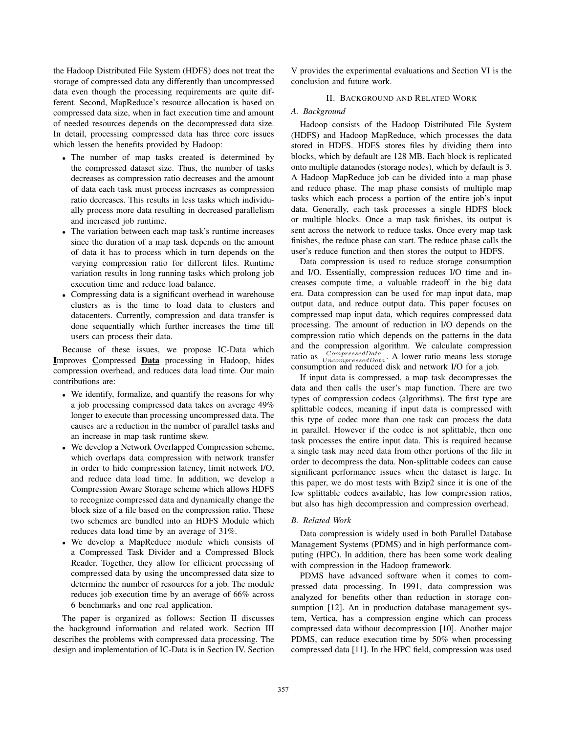the Hadoop Distributed File System (HDFS) does not treat the storage of compressed data any differently than uncompressed data even though the processing requirements are quite different. Second, MapReduce's resource allocation is based on compressed data size, when in fact execution time and amount of needed resources depends on the decompressed data size. In detail, processing compressed data has three core issues which lessen the benefits provided by Hadoop:

- The number of map tasks created is determined by the compressed dataset size. Thus, the number of tasks decreases as compression ratio decreases and the amount of data each task must process increases as compression ratio decreases. This results in less tasks which individually process more data resulting in decreased parallelism and increased job runtime.
- The variation between each map task's runtime increases since the duration of a map task depends on the amount of data it has to process which in turn depends on the varying compression ratio for different files. Runtime variation results in long running tasks which prolong job execution time and reduce load balance.
- Compressing data is a significant overhead in warehouse clusters as is the time to load data to clusters and datacenters. Currently, compression and data transfer is done sequentially which further increases the time till users can process their data.

Because of these issues, we propose IC-Data which Improves Compressed Data processing in Hadoop, hides compression overhead, and reduces data load time. Our main contributions are:

- We identify, formalize, and quantify the reasons for why a job processing compressed data takes on average 49% longer to execute than processing uncompressed data. The causes are a reduction in the number of parallel tasks and an increase in map task runtime skew.
- We develop a Network Overlapped Compression scheme, which overlaps data compression with network transfer in order to hide compression latency, limit network I/O, and reduce data load time. In addition, we develop a Compression Aware Storage scheme which allows HDFS to recognize compressed data and dynamically change the block size of a file based on the compression ratio. These two schemes are bundled into an HDFS Module which reduces data load time by an average of 31%.
- We develop a MapReduce module which consists of a Compressed Task Divider and a Compressed Block Reader. Together, they allow for efficient processing of compressed data by using the uncompressed data size to determine the number of resources for a job. The module reduces job execution time by an average of 66% across 6 benchmarks and one real application.

The paper is organized as follows: Section II discusses the background information and related work. Section III describes the problems with compressed data processing. The design and implementation of IC-Data is in Section IV. Section V provides the experimental evaluations and Section VI is the conclusion and future work.

# II. BACKGROUND AND RELATED WORK

# *A. Background*

Hadoop consists of the Hadoop Distributed File System (HDFS) and Hadoop MapReduce, which processes the data stored in HDFS. HDFS stores files by dividing them into blocks, which by default are 128 MB. Each block is replicated onto multiple datanodes (storage nodes), which by default is 3. A Hadoop MapReduce job can be divided into a map phase and reduce phase. The map phase consists of multiple map tasks which each process a portion of the entire job's input data. Generally, each task processes a single HDFS block or multiple blocks. Once a map task finishes, its output is sent across the network to reduce tasks. Once every map task finishes, the reduce phase can start. The reduce phase calls the user's reduce function and then stores the output to HDFS.

Data compression is used to reduce storage consumption and I/O. Essentially, compression reduces I/O time and increases compute time, a valuable tradeoff in the big data era. Data compression can be used for map input data, map output data, and reduce output data. This paper focuses on compressed map input data, which requires compressed data processing. The amount of reduction in I/O depends on the compression ratio which depends on the patterns in the data and the compression algorithm. We calculate compression ratio as  $\frac{Compressed Data}{Unconnected Data}$ . A lower ratio means less storage consumption and reduced disk and network I/O for a job.

If input data is compressed, a map task decompresses the data and then calls the user's map function. There are two types of compression codecs (algorithms). The first type are splittable codecs, meaning if input data is compressed with this type of codec more than one task can process the data in parallel. However if the codec is not splittable, then one task processes the entire input data. This is required because a single task may need data from other portions of the file in order to decompress the data. Non-splittable codecs can cause significant performance issues when the dataset is large. In this paper, we do most tests with Bzip2 since it is one of the few splittable codecs available, has low compression ratios, but also has high decompression and compression overhead.

### *B. Related Work*

Data compression is widely used in both Parallel Database Management Systems (PDMS) and in high performance computing (HPC). In addition, there has been some work dealing with compression in the Hadoop framework.

PDMS have advanced software when it comes to compressed data processing. In 1991, data compression was analyzed for benefits other than reduction in storage consumption [12]. An in production database management system, Vertica, has a compression engine which can process compressed data without decompression [10]. Another major PDMS, can reduce execution time by 50% when processing compressed data [11]. In the HPC field, compression was used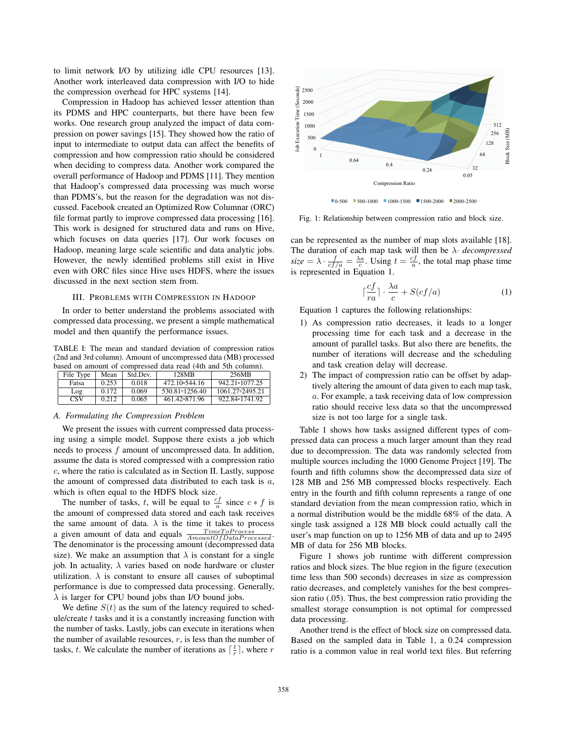to limit network I/O by utilizing idle CPU resources [13]. Another work interleaved data compression with I/O to hide the compression overhead for HPC systems [14].

Compression in Hadoop has achieved lesser attention than its PDMS and HPC counterparts, but there have been few works. One research group analyzed the impact of data compression on power savings [15]. They showed how the ratio of input to intermediate to output data can affect the benefits of compression and how compression ratio should be considered when deciding to compress data. Another work compared the overall performance of Hadoop and PDMS [11]. They mention that Hadoop's compressed data processing was much worse than PDMS's, but the reason for the degradation was not discussed. Facebook created an Optimized Row Columnar (ORC) file format partly to improve compressed data processing [16]. This work is designed for structured data and runs on Hive, which focuses on data queries [17]. Our work focuses on Hadoop, meaning large scale scientific and data analytic jobs. However, the newly identified problems still exist in Hive even with ORC files since Hive uses HDFS, where the issues discussed in the next section stem from.

## III. PROBLEMS WITH COMPRESSION IN HADOOP

In order to better understand the problems associated with compressed data processing, we present a simple mathematical model and then quantify the performance issues.

TABLE I: The mean and standard deviation of compression ratios (2nd and 3rd column). Amount of uncompressed data (MB) processed based on amount of compressed data read (4th and 5th column).

| File Type | Mean  | Std Dev. | 128MB                | 256MB                   |
|-----------|-------|----------|----------------------|-------------------------|
| Fatsa     | 0.253 | 0.018    | $472.10 \div 544.16$ | $942.21 \times 1077.25$ |
| Log       | 0.172 | 0.069    | 530.81 = 1256.40     | 1061.27 - 2495.21       |
| CSV       | 0.212 | 0.065    | 461.42 - 871.96      | 922.84 = 1741.92        |

#### *A. Formulating the Compression Problem*

We present the issues with current compressed data processing using a simple model. Suppose there exists a job which needs to process f amount of uncompressed data. In addition, assume the data is stored compressed with a compression ratio c, where the ratio is calculated as in Section II. Lastly, suppose the amount of compressed data distributed to each task is  $a$ , which is often equal to the HDFS block size.

The number of tasks, t, will be equal to  $\frac{cf}{a}$  since  $c * f$  is the amount of compressed data stored and each task receives the same amount of data.  $\lambda$  is the time it takes to process a given amount of data and equals  $\frac{TimeTo Process}{AmountOf Data Proceed}$ . The denominator is the processing amount (decompressed data size). We make an assumption that  $\lambda$  is constant for a single job. In actuality,  $\lambda$  varies based on node hardware or cluster utilization.  $\lambda$  is constant to ensure all causes of suboptimal performance is due to compressed data processing. Generally,  $\lambda$  is larger for CPU bound jobs than I/O bound jobs.

We define  $S(t)$  as the sum of the latency required to schedule/create  $t$  tasks and it is a constantly increasing function with the number of tasks. Lastly, jobs can execute in iterations when the number of available resources,  $r$ , is less than the number of tasks, t. We calculate the number of iterations as  $\lceil \frac{t}{r} \rceil$ , where r



Fig. 1: Relationship between compression ratio and block size.

can be represented as the number of map slots available [18]. The duration of each map task will then be λ· *decompressed*  $size = \lambda \cdot \frac{f}{cf/a} = \frac{\lambda a}{c}$ . Using  $t = \frac{cf}{a}$ , the total map phase time is represented in Equation 1.

$$
\lceil \frac{cf}{ra} \rceil \cdot \frac{\lambda a}{c} + S(cf/a)
$$
 (1)

Equation 1 captures the following relationships:

- 1) As compression ratio decreases, it leads to a longer processing time for each task and a decrease in the amount of parallel tasks. But also there are benefits, the number of iterations will decrease and the scheduling and task creation delay will decrease.
- 2) The impact of compression ratio can be offset by adaptively altering the amount of data given to each map task, a. For example, a task receiving data of low compression ratio should receive less data so that the uncompressed size is not too large for a single task.

Table 1 shows how tasks assigned different types of compressed data can process a much larger amount than they read due to decompression. The data was randomly selected from multiple sources including the 1000 Genome Project [19]. The fourth and fifth columns show the decompressed data size of 128 MB and 256 MB compressed blocks respectively. Each entry in the fourth and fifth column represents a range of one standard deviation from the mean compression ratio, which in a normal distribution would be the middle 68% of the data. A single task assigned a 128 MB block could actually call the user's map function on up to 1256 MB of data and up to 2495 MB of data for 256 MB blocks.

Figure 1 shows job runtime with different compression ratios and block sizes. The blue region in the figure (execution time less than 500 seconds) decreases in size as compression ratio decreases, and completely vanishes for the best compression ratio (.05). Thus, the best compression ratio providing the smallest storage consumption is not optimal for compressed data processing.

Another trend is the effect of block size on compressed data. Based on the sampled data in Table 1, a 0.24 compression ratio is a common value in real world text files. But referring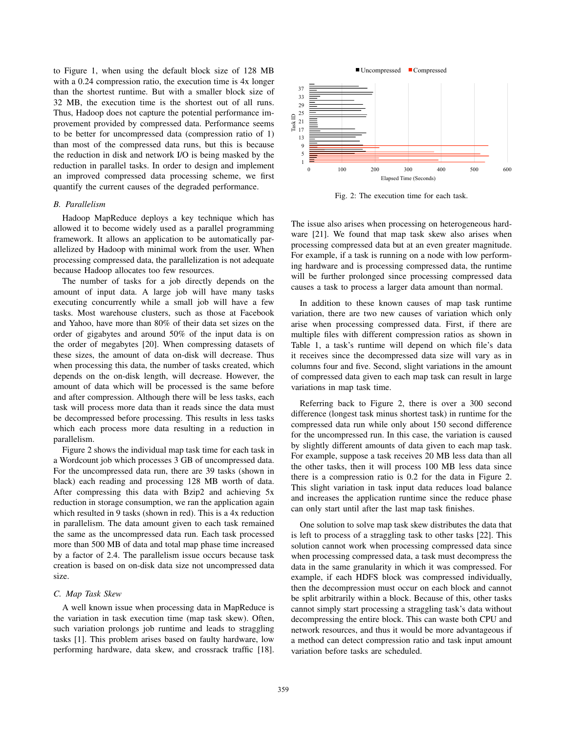to Figure 1, when using the default block size of 128 MB with a 0.24 compression ratio, the execution time is 4x longer than the shortest runtime. But with a smaller block size of 32 MB, the execution time is the shortest out of all runs. Thus, Hadoop does not capture the potential performance improvement provided by compressed data. Performance seems to be better for uncompressed data (compression ratio of 1) than most of the compressed data runs, but this is because the reduction in disk and network I/O is being masked by the reduction in parallel tasks. In order to design and implement an improved compressed data processing scheme, we first quantify the current causes of the degraded performance.

# *B. Parallelism*

Hadoop MapReduce deploys a key technique which has allowed it to become widely used as a parallel programming framework. It allows an application to be automatically parallelized by Hadoop with minimal work from the user. When processing compressed data, the parallelization is not adequate because Hadoop allocates too few resources.

The number of tasks for a job directly depends on the amount of input data. A large job will have many tasks executing concurrently while a small job will have a few tasks. Most warehouse clusters, such as those at Facebook and Yahoo, have more than 80% of their data set sizes on the order of gigabytes and around 50% of the input data is on the order of megabytes [20]. When compressing datasets of these sizes, the amount of data on-disk will decrease. Thus when processing this data, the number of tasks created, which depends on the on-disk length, will decrease. However, the amount of data which will be processed is the same before and after compression. Although there will be less tasks, each task will process more data than it reads since the data must be decompressed before processing. This results in less tasks which each process more data resulting in a reduction in parallelism.

Figure 2 shows the individual map task time for each task in a Wordcount job which processes 3 GB of uncompressed data. For the uncompressed data run, there are 39 tasks (shown in black) each reading and processing 128 MB worth of data. After compressing this data with Bzip2 and achieving 5x reduction in storage consumption, we ran the application again which resulted in 9 tasks (shown in red). This is a 4x reduction in parallelism. The data amount given to each task remained the same as the uncompressed data run. Each task processed more than 500 MB of data and total map phase time increased by a factor of 2.4. The parallelism issue occurs because task creation is based on on-disk data size not uncompressed data size.

## *C. Map Task Skew*

A well known issue when processing data in MapReduce is the variation in task execution time (map task skew). Often, such variation prolongs job runtime and leads to straggling tasks [1]. This problem arises based on faulty hardware, low performing hardware, data skew, and crossrack traffic [18].



Fig. 2: The execution time for each task.

The issue also arises when processing on heterogeneous hardware [21]. We found that map task skew also arises when processing compressed data but at an even greater magnitude. For example, if a task is running on a node with low performing hardware and is processing compressed data, the runtime will be further prolonged since processing compressed data causes a task to process a larger data amount than normal.

In addition to these known causes of map task runtime variation, there are two new causes of variation which only arise when processing compressed data. First, if there are multiple files with different compression ratios as shown in Table 1, a task's runtime will depend on which file's data it receives since the decompressed data size will vary as in columns four and five. Second, slight variations in the amount of compressed data given to each map task can result in large variations in map task time.

Referring back to Figure 2, there is over a 300 second difference (longest task minus shortest task) in runtime for the compressed data run while only about 150 second difference for the uncompressed run. In this case, the variation is caused by slightly different amounts of data given to each map task. For example, suppose a task receives 20 MB less data than all the other tasks, then it will process 100 MB less data since there is a compression ratio is 0.2 for the data in Figure 2. This slight variation in task input data reduces load balance and increases the application runtime since the reduce phase can only start until after the last map task finishes.

One solution to solve map task skew distributes the data that is left to process of a straggling task to other tasks [22]. This solution cannot work when processing compressed data since when processing compressed data, a task must decompress the data in the same granularity in which it was compressed. For example, if each HDFS block was compressed individually, then the decompression must occur on each block and cannot be split arbitrarily within a block. Because of this, other tasks cannot simply start processing a straggling task's data without decompressing the entire block. This can waste both CPU and network resources, and thus it would be more advantageous if a method can detect compression ratio and task input amount variation before tasks are scheduled.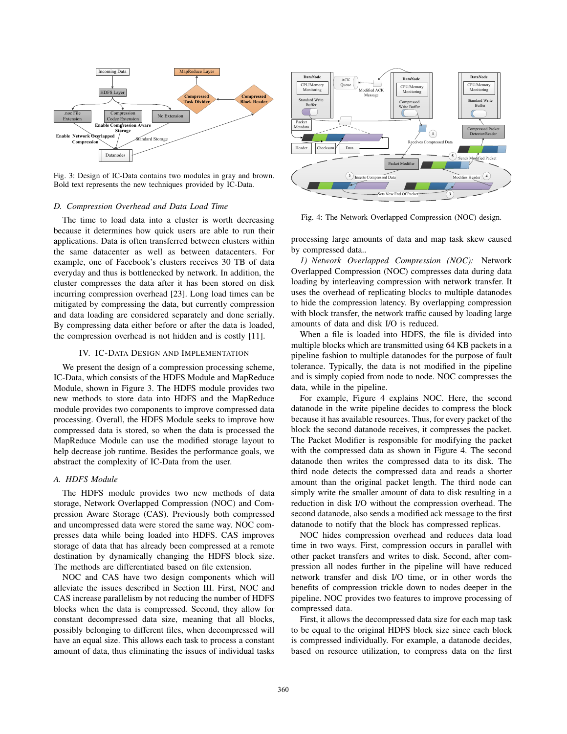

Fig. 3: Design of IC-Data contains two modules in gray and brown. Bold text represents the new techniques provided by IC-Data.

## *D. Compression Overhead and Data Load Time*

The time to load data into a cluster is worth decreasing because it determines how quick users are able to run their applications. Data is often transferred between clusters within the same datacenter as well as between datacenters. For example, one of Facebook's clusters receives 30 TB of data everyday and thus is bottlenecked by network. In addition, the cluster compresses the data after it has been stored on disk incurring compression overhead [23]. Long load times can be mitigated by compressing the data, but currently compression and data loading are considered separately and done serially. By compressing data either before or after the data is loaded, the compression overhead is not hidden and is costly [11].

# IV. IC-DATA DESIGN AND IMPLEMENTATION

We present the design of a compression processing scheme, IC-Data, which consists of the HDFS Module and MapReduce Module, shown in Figure 3. The HDFS module provides two new methods to store data into HDFS and the MapReduce module provides two components to improve compressed data processing. Overall, the HDFS Module seeks to improve how compressed data is stored, so when the data is processed the MapReduce Module can use the modified storage layout to help decrease job runtime. Besides the performance goals, we abstract the complexity of IC-Data from the user.

# *A. HDFS Module*

The HDFS module provides two new methods of data storage, Network Overlapped Compression (NOC) and Compression Aware Storage (CAS). Previously both compressed and uncompressed data were stored the same way. NOC compresses data while being loaded into HDFS. CAS improves storage of data that has already been compressed at a remote destination by dynamically changing the HDFS block size. The methods are differentiated based on file extension.

NOC and CAS have two design components which will alleviate the issues described in Section III. First, NOC and CAS increase parallelism by not reducing the number of HDFS blocks when the data is compressed. Second, they allow for constant decompressed data size, meaning that all blocks, possibly belonging to different files, when decompressed will have an equal size. This allows each task to process a constant amount of data, thus eliminating the issues of individual tasks



Fig. 4: The Network Overlapped Compression (NOC) design.

processing large amounts of data and map task skew caused by compressed data..

*1) Network Overlapped Compression (NOC):* Network Overlapped Compression (NOC) compresses data during data loading by interleaving compression with network transfer. It uses the overhead of replicating blocks to multiple datanodes to hide the compression latency. By overlapping compression with block transfer, the network traffic caused by loading large amounts of data and disk I/O is reduced.

When a file is loaded into HDFS, the file is divided into multiple blocks which are transmitted using 64 KB packets in a pipeline fashion to multiple datanodes for the purpose of fault tolerance. Typically, the data is not modified in the pipeline and is simply copied from node to node. NOC compresses the data, while in the pipeline.

For example, Figure 4 explains NOC. Here, the second datanode in the write pipeline decides to compress the block because it has available resources. Thus, for every packet of the block the second datanode receives, it compresses the packet. The Packet Modifier is responsible for modifying the packet with the compressed data as shown in Figure 4. The second datanode then writes the compressed data to its disk. The third node detects the compressed data and reads a shorter amount than the original packet length. The third node can simply write the smaller amount of data to disk resulting in a reduction in disk I/O without the compression overhead. The second datanode, also sends a modified ack message to the first datanode to notify that the block has compressed replicas.

NOC hides compression overhead and reduces data load time in two ways. First, compression occurs in parallel with other packet transfers and writes to disk. Second, after compression all nodes further in the pipeline will have reduced network transfer and disk I/O time, or in other words the benefits of compression trickle down to nodes deeper in the pipeline. NOC provides two features to improve processing of compressed data.

First, it allows the decompressed data size for each map task to be equal to the original HDFS block size since each block is compressed individually. For example, a datanode decides, based on resource utilization, to compress data on the first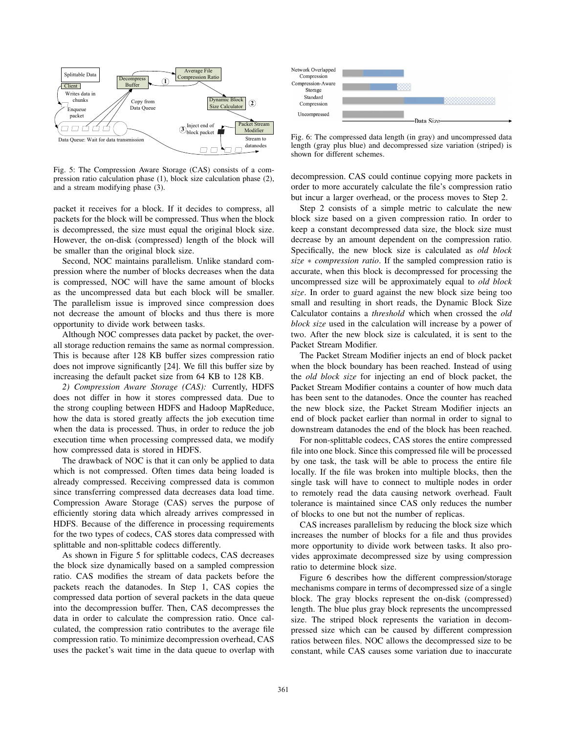

Fig. 5: The Compression Aware Storage (CAS) consists of a compression ratio calculation phase (1), block size calculation phase (2), and a stream modifying phase (3).

packet it receives for a block. If it decides to compress, all packets for the block will be compressed. Thus when the block is decompressed, the size must equal the original block size. However, the on-disk (compressed) length of the block will be smaller than the original block size.

Second, NOC maintains parallelism. Unlike standard compression where the number of blocks decreases when the data is compressed, NOC will have the same amount of blocks as the uncompressed data but each block will be smaller. The parallelism issue is improved since compression does not decrease the amount of blocks and thus there is more opportunity to divide work between tasks.

Although NOC compresses data packet by packet, the overall storage reduction remains the same as normal compression. This is because after 128 KB buffer sizes compression ratio does not improve significantly [24]. We fill this buffer size by increasing the default packet size from 64 KB to 128 KB.

*2) Compression Aware Storage (CAS):* Currently, HDFS does not differ in how it stores compressed data. Due to the strong coupling between HDFS and Hadoop MapReduce, how the data is stored greatly affects the job execution time when the data is processed. Thus, in order to reduce the job execution time when processing compressed data, we modify how compressed data is stored in HDFS.

The drawback of NOC is that it can only be applied to data which is not compressed. Often times data being loaded is already compressed. Receiving compressed data is common since transferring compressed data decreases data load time. Compression Aware Storage (CAS) serves the purpose of efficiently storing data which already arrives compressed in HDFS. Because of the difference in processing requirements for the two types of codecs, CAS stores data compressed with splittable and non-splittable codecs differently.

As shown in Figure 5 for splittable codecs, CAS decreases the block size dynamically based on a sampled compression ratio. CAS modifies the stream of data packets before the packets reach the datanodes. In Step 1, CAS copies the compressed data portion of several packets in the data queue into the decompression buffer. Then, CAS decompresses the data in order to calculate the compression ratio. Once calculated, the compression ratio contributes to the average file compression ratio. To minimize decompression overhead, CAS uses the packet's wait time in the data queue to overlap with



Fig. 6: The compressed data length (in gray) and uncompressed data length (gray plus blue) and decompressed size variation (striped) is shown for different schemes.

decompression. CAS could continue copying more packets in order to more accurately calculate the file's compression ratio but incur a larger overhead, or the process moves to Step 2.

Step 2 consists of a simple metric to calculate the new block size based on a given compression ratio. In order to keep a constant decompressed data size, the block size must decrease by an amount dependent on the compression ratio. Specifically, the new block size is calculated as *old block size* ∗ *compression ratio*. If the sampled compression ratio is accurate, when this block is decompressed for processing the uncompressed size will be approximately equal to *old block size*. In order to guard against the new block size being too small and resulting in short reads, the Dynamic Block Size Calculator contains a *threshold* which when crossed the *old block size* used in the calculation will increase by a power of two. After the new block size is calculated, it is sent to the Packet Stream Modifier.

The Packet Stream Modifier injects an end of block packet when the block boundary has been reached. Instead of using the *old block size* for injecting an end of block packet, the Packet Stream Modifier contains a counter of how much data has been sent to the datanodes. Once the counter has reached the new block size, the Packet Stream Modifier injects an end of block packet earlier than normal in order to signal to downstream datanodes the end of the block has been reached.

For non-splittable codecs, CAS stores the entire compressed file into one block. Since this compressed file will be processed by one task, the task will be able to process the entire file locally. If the file was broken into multiple blocks, then the single task will have to connect to multiple nodes in order to remotely read the data causing network overhead. Fault tolerance is maintained since CAS only reduces the number of blocks to one but not the number of replicas.

CAS increases parallelism by reducing the block size which increases the number of blocks for a file and thus provides more opportunity to divide work between tasks. It also provides approximate decompressed size by using compression ratio to determine block size.

Figure 6 describes how the different compression/storage mechanisms compare in terms of decompressed size of a single block. The gray blocks represent the on-disk (compressed) length. The blue plus gray block represents the uncompressed size. The striped block represents the variation in decompressed size which can be caused by different compression ratios between files. NOC allows the decompressed size to be constant, while CAS causes some variation due to inaccurate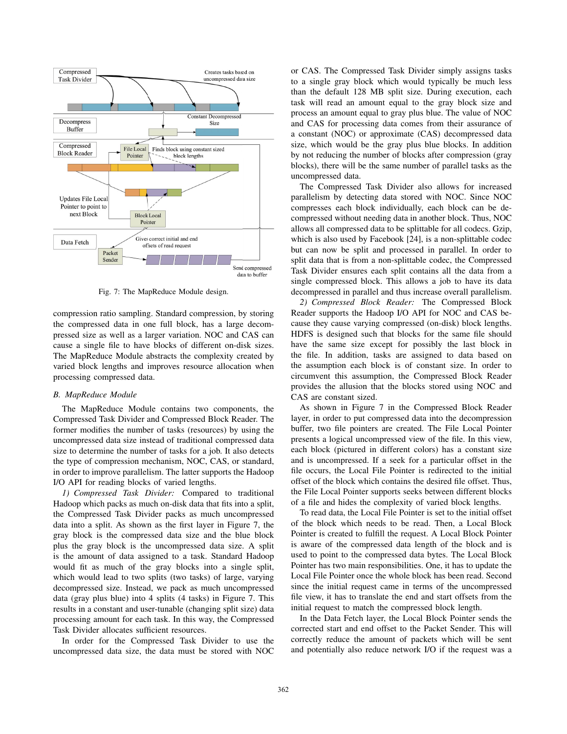

Fig. 7: The MapReduce Module design.

compression ratio sampling. Standard compression, by storing the compressed data in one full block, has a large decompressed size as well as a larger variation. NOC and CAS can cause a single file to have blocks of different on-disk sizes. The MapReduce Module abstracts the complexity created by varied block lengths and improves resource allocation when processing compressed data.

# *B. MapReduce Module*

The MapReduce Module contains two components, the Compressed Task Divider and Compressed Block Reader. The former modifies the number of tasks (resources) by using the uncompressed data size instead of traditional compressed data size to determine the number of tasks for a job. It also detects the type of compression mechanism, NOC, CAS, or standard, in order to improve parallelism. The latter supports the Hadoop I/O API for reading blocks of varied lengths.

*1) Compressed Task Divider:* Compared to traditional Hadoop which packs as much on-disk data that fits into a split, the Compressed Task Divider packs as much uncompressed data into a split. As shown as the first layer in Figure 7, the gray block is the compressed data size and the blue block plus the gray block is the uncompressed data size. A split is the amount of data assigned to a task. Standard Hadoop would fit as much of the gray blocks into a single split, which would lead to two splits (two tasks) of large, varying decompressed size. Instead, we pack as much uncompressed data (gray plus blue) into 4 splits (4 tasks) in Figure 7. This results in a constant and user-tunable (changing split size) data processing amount for each task. In this way, the Compressed Task Divider allocates sufficient resources.

In order for the Compressed Task Divider to use the uncompressed data size, the data must be stored with NOC

or CAS. The Compressed Task Divider simply assigns tasks to a single gray block which would typically be much less than the default 128 MB split size. During execution, each task will read an amount equal to the gray block size and process an amount equal to gray plus blue. The value of NOC and CAS for processing data comes from their assurance of a constant (NOC) or approximate (CAS) decompressed data size, which would be the gray plus blue blocks. In addition by not reducing the number of blocks after compression (gray blocks), there will be the same number of parallel tasks as the uncompressed data.

The Compressed Task Divider also allows for increased parallelism by detecting data stored with NOC. Since NOC compresses each block individually, each block can be decompressed without needing data in another block. Thus, NOC allows all compressed data to be splittable for all codecs. Gzip, which is also used by Facebook [24], is a non-splittable codec but can now be split and processed in parallel. In order to split data that is from a non-splittable codec, the Compressed Task Divider ensures each split contains all the data from a single compressed block. This allows a job to have its data decompressed in parallel and thus increase overall parallelism.

*2) Compressed Block Reader:* The Compressed Block Reader supports the Hadoop I/O API for NOC and CAS because they cause varying compressed (on-disk) block lengths. HDFS is designed such that blocks for the same file should have the same size except for possibly the last block in the file. In addition, tasks are assigned to data based on the assumption each block is of constant size. In order to circumvent this assumption, the Compressed Block Reader provides the allusion that the blocks stored using NOC and CAS are constant sized.

As shown in Figure 7 in the Compressed Block Reader layer, in order to put compressed data into the decompression buffer, two file pointers are created. The File Local Pointer presents a logical uncompressed view of the file. In this view, each block (pictured in different colors) has a constant size and is uncompressed. If a seek for a particular offset in the file occurs, the Local File Pointer is redirected to the initial offset of the block which contains the desired file offset. Thus, the File Local Pointer supports seeks between different blocks of a file and hides the complexity of varied block lengths.

To read data, the Local File Pointer is set to the initial offset of the block which needs to be read. Then, a Local Block Pointer is created to fulfill the request. A Local Block Pointer is aware of the compressed data length of the block and is used to point to the compressed data bytes. The Local Block Pointer has two main responsibilities. One, it has to update the Local File Pointer once the whole block has been read. Second since the initial request came in terms of the uncompressed file view, it has to translate the end and start offsets from the initial request to match the compressed block length.

In the Data Fetch layer, the Local Block Pointer sends the corrected start and end offset to the Packet Sender. This will correctly reduce the amount of packets which will be sent and potentially also reduce network I/O if the request was a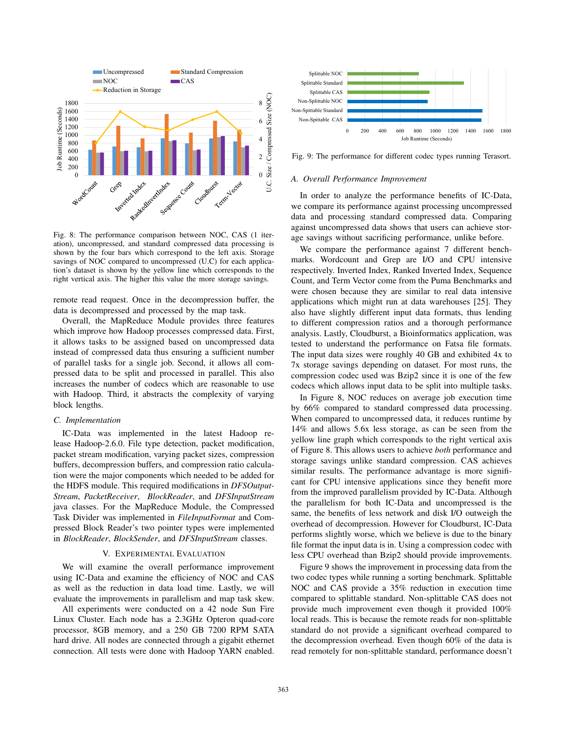

Fig. 8: The performance comparison between NOC, CAS (1 iteration), uncompressed, and standard compressed data processing is shown by the four bars which correspond to the left axis. Storage savings of NOC compared to uncompressed (U.C) for each application's dataset is shown by the yellow line which corresponds to the right vertical axis. The higher this value the more storage savings.

remote read request. Once in the decompression buffer, the data is decompressed and processed by the map task.

Overall, the MapReduce Module provides three features which improve how Hadoop processes compressed data. First, it allows tasks to be assigned based on uncompressed data instead of compressed data thus ensuring a sufficient number of parallel tasks for a single job. Second, it allows all compressed data to be split and processed in parallel. This also increases the number of codecs which are reasonable to use with Hadoop. Third, it abstracts the complexity of varying block lengths.

## *C. Implementation*

IC-Data was implemented in the latest Hadoop release Hadoop-2.6.0. File type detection, packet modification, packet stream modification, varying packet sizes, compression buffers, decompression buffers, and compression ratio calculation were the major components which needed to be added for the HDFS module. This required modifications in *DFSOutput-Stream*, *PacketReceiver*, *BlockReader*, and *DFSInputStream* java classes. For the MapReduce Module, the Compressed Task Divider was implemented in *FileInputFormat* and Compressed Block Reader's two pointer types were implemented in *BlockReader*, *BlockSender*, and *DFSInputStream* classes.

# V. EXPERIMENTAL EVALUATION

We will examine the overall performance improvement using IC-Data and examine the efficiency of NOC and CAS as well as the reduction in data load time. Lastly, we will evaluate the improvements in parallelism and map task skew.

All experiments were conducted on a 42 node Sun Fire Linux Cluster. Each node has a 2.3GHz Opteron quad-core processor, 8GB memory, and a 250 GB 7200 RPM SATA hard drive. All nodes are connected through a gigabit ethernet connection. All tests were done with Hadoop YARN enabled.



Fig. 9: The performance for different codec types running Terasort.

#### *A. Overall Performance Improvement*

In order to analyze the performance benefits of IC-Data, we compare its performance against processing uncompressed data and processing standard compressed data. Comparing against uncompressed data shows that users can achieve storage savings without sacrificing performance, unlike before.

We compare the performance against 7 different benchmarks. Wordcount and Grep are I/O and CPU intensive respectively. Inverted Index, Ranked Inverted Index, Sequence Count, and Term Vector come from the Puma Benchmarks and were chosen because they are similar to real data intensive applications which might run at data warehouses [25]. They also have slightly different input data formats, thus lending to different compression ratios and a thorough performance analysis. Lastly, Cloudburst, a Bioinformatics application, was tested to understand the performance on Fatsa file formats. The input data sizes were roughly 40 GB and exhibited 4x to 7x storage savings depending on dataset. For most runs, the compression codec used was Bzip2 since it is one of the few codecs which allows input data to be split into multiple tasks.

In Figure 8, NOC reduces on average job execution time by 66% compared to standard compressed data processing. When compared to uncompressed data, it reduces runtime by 14% and allows 5.6x less storage, as can be seen from the yellow line graph which corresponds to the right vertical axis of Figure 8. This allows users to achieve *both* performance and storage savings unlike standard compression. CAS achieves similar results. The performance advantage is more significant for CPU intensive applications since they benefit more from the improved parallelism provided by IC-Data. Although the parallelism for both IC-Data and uncompressed is the same, the benefits of less network and disk I/O outweigh the overhead of decompression. However for Cloudburst, IC-Data performs slightly worse, which we believe is due to the binary file format the input data is in. Using a compression codec with less CPU overhead than Bzip2 should provide improvements.

Figure 9 shows the improvement in processing data from the two codec types while running a sorting benchmark. Splittable NOC and CAS provide a 35% reduction in execution time compared to splittable standard. Non-splittable CAS does not provide much improvement even though it provided 100% local reads. This is because the remote reads for non-splittable standard do not provide a significant overhead compared to the decompression overhead. Even though 60% of the data is read remotely for non-splittable standard, performance doesn't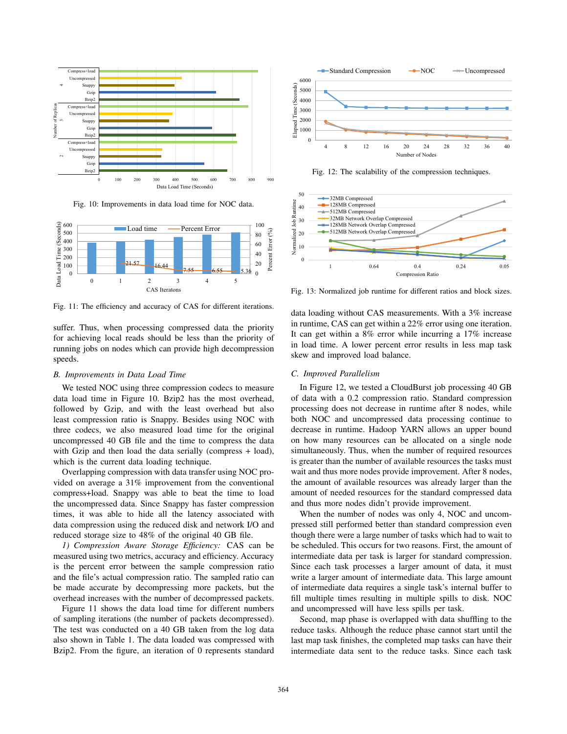

Fig. 10: Improvements in data load time for NOC data.



Fig. 11: The efficiency and accuracy of CAS for different iterations.

suffer. Thus, when processing compressed data the priority for achieving local reads should be less than the priority of running jobs on nodes which can provide high decompression speeds.

## *B. Improvements in Data Load Time*

We tested NOC using three compression codecs to measure data load time in Figure 10. Bzip2 has the most overhead, followed by Gzip, and with the least overhead but also least compression ratio is Snappy. Besides using NOC with three codecs, we also measured load time for the original uncompressed 40 GB file and the time to compress the data with Gzip and then load the data serially (compress + load), which is the current data loading technique.

Overlapping compression with data transfer using NOC provided on average a 31% improvement from the conventional compress+load. Snappy was able to beat the time to load the uncompressed data. Since Snappy has faster compression times, it was able to hide all the latency associated with data compression using the reduced disk and network I/O and reduced storage size to 48% of the original 40 GB file.

*1) Compression Aware Storage Efficiency:* CAS can be measured using two metrics, accuracy and efficiency. Accuracy is the percent error between the sample compression ratio and the file's actual compression ratio. The sampled ratio can be made accurate by decompressing more packets, but the overhead increases with the number of decompressed packets.

Figure 11 shows the data load time for different numbers of sampling iterations (the number of packets decompressed). The test was conducted on a 40 GB taken from the log data also shown in Table 1. The data loaded was compressed with Bzip2. From the figure, an iteration of 0 represents standard



Fig. 12: The scalability of the compression techniques.



Fig. 13: Normalized job runtime for different ratios and block sizes.

data loading without CAS measurements. With a 3% increase in runtime, CAS can get within a 22% error using one iteration. It can get within a 8% error while incurring a 17% increase in load time. A lower percent error results in less map task skew and improved load balance.

# *C. Improved Parallelism*

In Figure 12, we tested a CloudBurst job processing 40 GB of data with a 0.2 compression ratio. Standard compression processing does not decrease in runtime after 8 nodes, while both NOC and uncompressed data processing continue to decrease in runtime. Hadoop YARN allows an upper bound on how many resources can be allocated on a single node simultaneously. Thus, when the number of required resources is greater than the number of available resources the tasks must wait and thus more nodes provide improvement. After 8 nodes, the amount of available resources was already larger than the amount of needed resources for the standard compressed data and thus more nodes didn't provide improvement.

When the number of nodes was only 4, NOC and uncompressed still performed better than standard compression even though there were a large number of tasks which had to wait to be scheduled. This occurs for two reasons. First, the amount of intermediate data per task is larger for standard compression. Since each task processes a larger amount of data, it must write a larger amount of intermediate data. This large amount of intermediate data requires a single task's internal buffer to fill multiple times resulting in multiple spills to disk. NOC and uncompressed will have less spills per task.

Second, map phase is overlapped with data shuffling to the reduce tasks. Although the reduce phase cannot start until the last map task finishes, the completed map tasks can have their intermediate data sent to the reduce tasks. Since each task